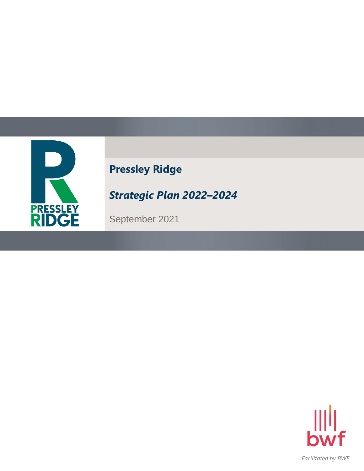

# **Pressley Ridge**

*Strategic Plan 2022–2024*

September 2021

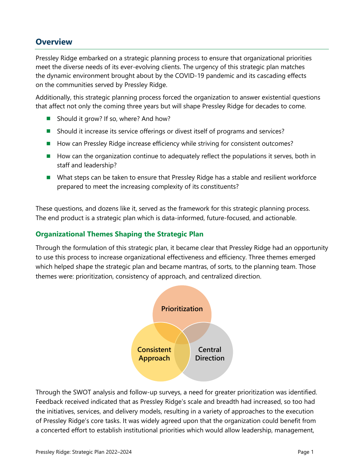# **Overview**

Pressley Ridge embarked on a strategic planning process to ensure that organizational priorities meet the diverse needs of its ever-evolving clients. The urgency of this strategic plan matches the dynamic environment brought about by the COVID-19 pandemic and its cascading effects on the communities served by Pressley Ridge.

Additionally, this strategic planning process forced the organization to answer existential questions that affect not only the coming three years but will shape Pressley Ridge for decades to come.

- Should it grow? If so, where? And how?
- Should it increase its service offerings or divest itself of programs and services?
- How can Pressley Ridge increase efficiency while striving for consistent outcomes?
- How can the organization continue to adequately reflect the populations it serves, both in staff and leadership?
- What steps can be taken to ensure that Pressley Ridge has a stable and resilient workforce prepared to meet the increasing complexity of its constituents?

These questions, and dozens like it, served as the framework for this strategic planning process. The end product is a strategic plan which is data-informed, future-focused, and actionable.

### **Organizational Themes Shaping the Strategic Plan**

Through the formulation of this strategic plan, it became clear that Pressley Ridge had an opportunity to use this process to increase organizational effectiveness and efficiency. Three themes emerged which helped shape the strategic plan and became mantras, of sorts, to the planning team. Those themes were: prioritization, consistency of approach, and centralized direction.



Through the SWOT analysis and follow-up surveys, a need for greater prioritization was identified. Feedback received indicated that as Pressley Ridge's scale and breadth had increased, so too had the initiatives, services, and delivery models, resulting in a variety of approaches to the execution of Pressley Ridge's core tasks. It was widely agreed upon that the organization could benefit from a concerted effort to establish institutional priorities which would allow leadership, management,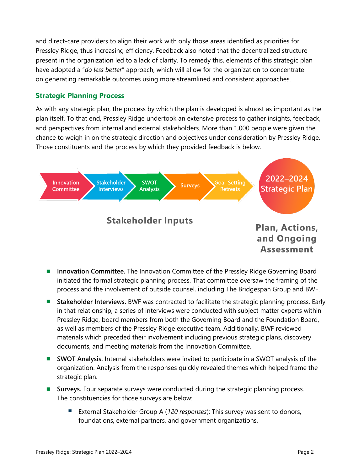and direct-care providers to align their work with only those areas identified as priorities for Pressley Ridge, thus increasing efficiency. Feedback also noted that the decentralized structure present in the organization led to a lack of clarity. To remedy this, elements of this strategic plan have adopted a "*do less better*" approach, which will allow for the organization to concentrate on generating remarkable outcomes using more streamlined and consistent approaches.

# **Strategic Planning Process**

As with any strategic plan, the process by which the plan is developed is almost as important as the plan itself. To that end, Pressley Ridge undertook an extensive process to gather insights, feedback, and perspectives from internal and external stakeholders. More than 1,000 people were given the chance to weigh in on the strategic direction and objectives under consideration by Pressley Ridge. Those constituents and the process by which they provided feedback is below.



- ◼ **Innovation Committee.** The Innovation Committee of the Pressley Ridge Governing Board initiated the formal strategic planning process. That committee oversaw the framing of the process and the involvement of outside counsel, including The Bridgespan Group and BWF.
- ◼ **Stakeholder Interviews.** BWF was contracted to facilitate the strategic planning process. Early in that relationship, a series of interviews were conducted with subject matter experts within Pressley Ridge, board members from both the Governing Board and the Foundation Board, as well as members of the Pressley Ridge executive team. Additionally, BWF reviewed materials which preceded their involvement including previous strategic plans, discovery documents, and meeting materials from the Innovation Committee.
- **SWOT Analysis.** Internal stakeholders were invited to participate in a SWOT analysis of the organization. Analysis from the responses quickly revealed themes which helped frame the strategic plan.
- Surveys. Four separate surveys were conducted during the strategic planning process. The constituencies for those surveys are below:
	- External Stakeholder Group A (120 responses): This survey was sent to donors, foundations, external partners, and government organizations.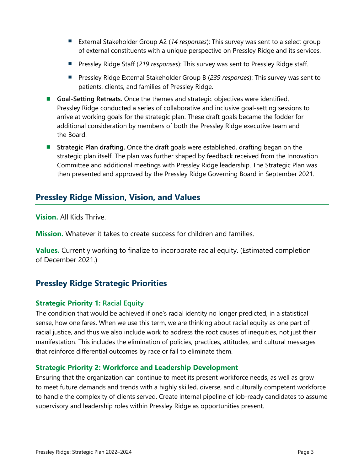- External Stakeholder Group A2 (14 responses): This survey was sent to a select group of external constituents with a unique perspective on Pressley Ridge and its services.
- Pressley Ridge Staff (219 *responses*): This survey was sent to Pressley Ridge staff.
- Pressley Ridge External Stakeholder Group B (239 *responses*): This survey was sent to patients, clients, and families of Pressley Ridge.
- Goal-Setting Retreats. Once the themes and strategic objectives were identified, Pressley Ridge conducted a series of collaborative and inclusive goal-setting sessions to arrive at working goals for the strategic plan. These draft goals became the fodder for additional consideration by members of both the Pressley Ridge executive team and the Board.
- **Strategic Plan drafting.** Once the draft goals were established, drafting began on the strategic plan itself. The plan was further shaped by feedback received from the Innovation Committee and additional meetings with Pressley Ridge leadership. The Strategic Plan was then presented and approved by the Pressley Ridge Governing Board in September 2021.

# **Pressley Ridge Mission, Vision, and Values**

**Vision.** All Kids Thrive.

**Mission.** Whatever it takes to create success for children and families.

**Values.** Currently working to finalize to incorporate racial equity. (Estimated completion of December 2021.)

# **Pressley Ridge Strategic Priorities**

# **Strategic Priority 1: Racial Equity**

The condition that would be achieved if one's racial identity no longer predicted, in a statistical sense, how one fares. When we use this term, we are thinking about racial equity as one part of racial justice, and thus we also include work to address the root causes of inequities, not just their manifestation. This includes the elimination of policies, practices, attitudes, and cultural messages that reinforce differential outcomes by race or fail to eliminate them.

#### **Strategic Priority 2: Workforce and Leadership Development**

Ensuring that the organization can continue to meet its present workforce needs, as well as grow to meet future demands and trends with a highly skilled, diverse, and culturally competent workforce to handle the complexity of clients served. Create internal pipeline of job-ready candidates to assume supervisory and leadership roles within Pressley Ridge as opportunities present.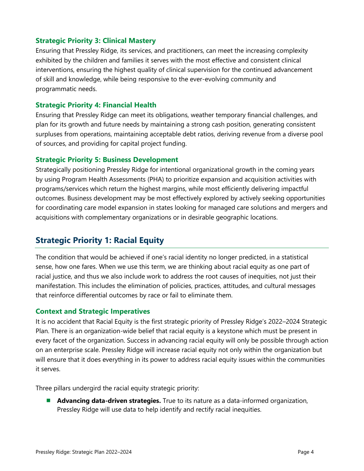#### **Strategic Priority 3: Clinical Mastery**

Ensuring that Pressley Ridge, its services, and practitioners, can meet the increasing complexity exhibited by the children and families it serves with the most effective and consistent clinical interventions, ensuring the highest quality of clinical supervision for the continued advancement of skill and knowledge, while being responsive to the ever-evolving community and programmatic needs.

#### **Strategic Priority 4: Financial Health**

Ensuring that Pressley Ridge can meet its obligations, weather temporary financial challenges, and plan for its growth and future needs by maintaining a strong cash position, generating consistent surpluses from operations, maintaining acceptable debt ratios, deriving revenue from a diverse pool of sources, and providing for capital project funding.

#### **Strategic Priority 5: Business Development**

Strategically positioning Pressley Ridge for intentional organizational growth in the coming years by using Program Health Assessments (PHA) to prioritize expansion and acquisition activities with programs/services which return the highest margins, while most efficiently delivering impactful outcomes. Business development may be most effectively explored by actively seeking opportunities for coordinating care model expansion in states looking for managed care solutions and mergers and acquisitions with complementary organizations or in desirable geographic locations.

# **Strategic Priority 1: Racial Equity**

The condition that would be achieved if one's racial identity no longer predicted, in a statistical sense, how one fares. When we use this term, we are thinking about racial equity as one part of racial justice, and thus we also include work to address the root causes of inequities, not just their manifestation. This includes the elimination of policies, practices, attitudes, and cultural messages that reinforce differential outcomes by race or fail to eliminate them.

#### **Context and Strategic Imperatives**

It is no accident that Racial Equity is the first strategic priority of Pressley Ridge's 2022–2024 Strategic Plan. There is an organization-wide belief that racial equity is a keystone which must be present in every facet of the organization. Success in advancing racial equity will only be possible through action on an enterprise scale. Pressley Ridge will increase racial equity not only within the organization but will ensure that it does everything in its power to address racial equity issues within the communities it serves.

Three pillars undergird the racial equity strategic priority:

■ **Advancing data-driven strategies.** True to its nature as a data-informed organization, Pressley Ridge will use data to help identify and rectify racial inequities.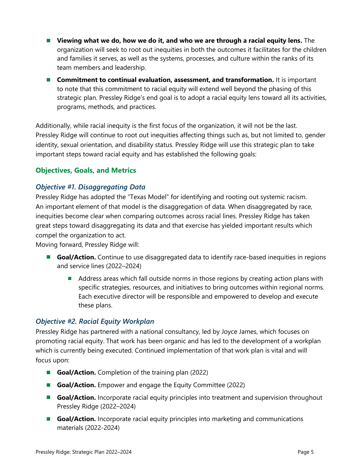- Viewing what we do, how we do it, and who we are through a racial equity lens. The organization will seek to root out inequities in both the outcomes it facilitates for the children and families it serves, as well as the systems, processes, and culture within the ranks of its team members and leadership.
- Commitment to continual evaluation, assessment, and transformation. It is important to note that this commitment to racial equity will extend well beyond the phasing of this strategic plan. Pressley Ridge's end goal is to adopt a racial equity lens toward all its activities, programs, methods, and practices.

Additionally, while racial inequity is the first focus of the organization, it will not be the last. Pressley Ridge will continue to root out inequities affecting things such as, but not limited to, gender identity, sexual orientation, and disability status. Pressley Ridge will use this strategic plan to take important steps toward racial equity and has established the following goals:

# **Objectives, Goals, and Metrics**

#### *Objective #1. Disaggregating Data*

Pressley Ridge has adopted the "Texas Model" for identifying and rooting out systemic racism. An important element of that model is the disaggregation of data. When disaggregated by race, inequities become clear when comparing outcomes across racial lines. Pressley Ridge has taken great steps toward disaggregating its data and that exercise has yielded important results which compel the organization to act.

Moving forward, Pressley Ridge will:

- **Goal/Action.** Continue to use disaggregated data to identify race-based inequities in regions and service lines (2022–2024)
	- Address areas which fall outside norms in those regions by creating action plans with specific strategies, resources, and initiatives to bring outcomes within regional norms. Each executive director will be responsible and empowered to develop and execute these plans.

#### *Objective #2. Racial Equity Workplan*

Pressley Ridge has partnered with a national consultancy, led by Joyce James, which focuses on promoting racial equity. That work has been organic and has led to the development of a workplan which is currently being executed. Continued implementation of that work plan is vital and will focus upon:

- **Goal/Action.** Completion of the training plan (2022)
- **Goal/Action.** Empower and engage the Equity Committee (2022)
- **Goal/Action.** Incorporate racial equity principles into treatment and supervision throughout Pressley Ridge (2022–2024)
- **Goal/Action.** Incorporate racial equity principles into marketing and communications materials (2022-2024)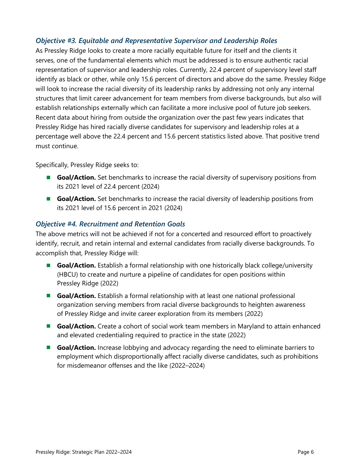### *Objective #3. Equitable and Representative Supervisor and Leadership Roles*

As Pressley Ridge looks to create a more racially equitable future for itself and the clients it serves, one of the fundamental elements which must be addressed is to ensure authentic racial representation of supervisor and leadership roles. Currently, 22.4 percent of supervisory level staff identify as black or other, while only 15.6 percent of directors and above do the same. Pressley Ridge will look to increase the racial diversity of its leadership ranks by addressing not only any internal structures that limit career advancement for team members from diverse backgrounds, but also will establish relationships externally which can facilitate a more inclusive pool of future job seekers. Recent data about hiring from outside the organization over the past few years indicates that Pressley Ridge has hired racially diverse candidates for supervisory and leadership roles at a percentage well above the 22.4 percent and 15.6 percent statistics listed above. That positive trend must continue.

Specifically, Pressley Ridge seeks to:

- **Goal/Action.** Set benchmarks to increase the racial diversity of supervisory positions from its 2021 level of 22.4 percent (2024)
- **Goal/Action.** Set benchmarks to increase the racial diversity of leadership positions from its 2021 level of 15.6 percent in 2021 (2024)

#### *Objective #4. Recruitment and Retention Goals*

The above metrics will not be achieved if not for a concerted and resourced effort to proactively identify, recruit, and retain internal and external candidates from racially diverse backgrounds. To accomplish that, Pressley Ridge will:

- **Goal/Action.** Establish a formal relationship with one historically black college/university (HBCU) to create and nurture a pipeline of candidates for open positions within Pressley Ridge (2022)
- **Goal/Action.** Establish a formal relationship with at least one national professional organization serving members from racial diverse backgrounds to heighten awareness of Pressley Ridge and invite career exploration from its members (2022)
- **Goal/Action.** Create a cohort of social work team members in Maryland to attain enhanced and elevated credentialing required to practice in the state (2022)
- Goal/Action. Increase lobbying and advocacy regarding the need to eliminate barriers to employment which disproportionally affect racially diverse candidates, such as prohibitions for misdemeanor offenses and the like (2022–2024)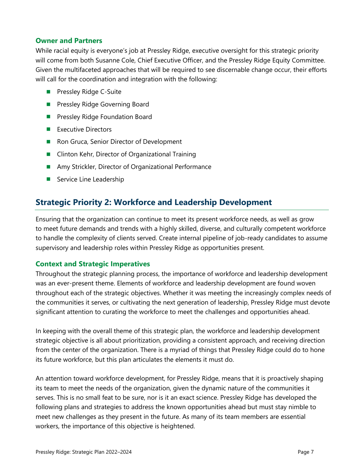#### **Owner and Partners**

While racial equity is everyone's job at Pressley Ridge, executive oversight for this strategic priority will come from both Susanne Cole, Chief Executive Officer, and the Pressley Ridge Equity Committee. Given the multifaceted approaches that will be required to see discernable change occur, their efforts will call for the coordination and integration with the following:

- Pressley Ridge C-Suite
- Pressley Ridge Governing Board
- Pressley Ridge Foundation Board
- Executive Directors
- Ron Gruca, Senior Director of Development
- Clinton Kehr, Director of Organizational Training
- Amy Strickler, Director of Organizational Performance
- Service Line Leadership

# **Strategic Priority 2: Workforce and Leadership Development**

Ensuring that the organization can continue to meet its present workforce needs, as well as grow to meet future demands and trends with a highly skilled, diverse, and culturally competent workforce to handle the complexity of clients served. Create internal pipeline of job-ready candidates to assume supervisory and leadership roles within Pressley Ridge as opportunities present.

#### **Context and Strategic Imperatives**

Throughout the strategic planning process, the importance of workforce and leadership development was an ever-present theme. Elements of workforce and leadership development are found woven throughout each of the strategic objectives. Whether it was meeting the increasingly complex needs of the communities it serves, or cultivating the next generation of leadership, Pressley Ridge must devote significant attention to curating the workforce to meet the challenges and opportunities ahead.

In keeping with the overall theme of this strategic plan, the workforce and leadership development strategic objective is all about prioritization, providing a consistent approach, and receiving direction from the center of the organization. There is a myriad of things that Pressley Ridge could do to hone its future workforce, but this plan articulates the elements it must do.

An attention toward workforce development, for Pressley Ridge, means that it is proactively shaping its team to meet the needs of the organization, given the dynamic nature of the communities it serves. This is no small feat to be sure, nor is it an exact science. Pressley Ridge has developed the following plans and strategies to address the known opportunities ahead but must stay nimble to meet new challenges as they present in the future. As many of its team members are essential workers, the importance of this objective is heightened.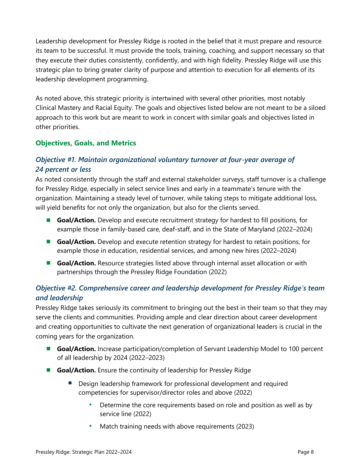Leadership development for Pressley Ridge is rooted in the belief that it must prepare and resource its team to be successful. It must provide the tools, training, coaching, and support necessary so that they execute their duties consistently, confidently, and with high fidelity. Pressley Ridge will use this strategic plan to bring greater clarity of purpose and attention to execution for all elements of its leadership development programming.

As noted above, this strategic priority is intertwined with several other priorities, most notably Clinical Mastery and Racial Equity. The goals and objectives listed below are not meant to be a siloed approach to this work but are meant to work in concert with similar goals and objectives listed in other priorities.

# **Objectives, Goals, and Metrics**

# *Objective #1. Maintain organizational voluntary turnover at four-year average of 24 percent or less*

As noted consistently through the staff and external stakeholder surveys, staff turnover is a challenge for Pressley Ridge, especially in select service lines and early in a teammate's tenure with the organization. Maintaining a steady level of turnover, while taking steps to mitigate additional loss, will yield benefits for not only the organization, but also for the clients served.

- **Goal/Action.** Develop and execute recruitment strategy for hardest to fill positions, for example those in family-based care, deaf-staff, and in the State of Maryland (2022–2024)
- **Goal/Action.** Develop and execute retention strategy for hardest to retain positions, for example those in education, residential services, and among new hires (2022–2024)
- **Goal/Action.** Resource strategies listed above through internal asset allocation or with partnerships through the Pressley Ridge Foundation (2022)

# *Objective #2. Comprehensive career and leadership development for Pressley Ridge's team and leadership*

Pressley Ridge takes seriously its commitment to bringing out the best in their team so that they may serve the clients and communities. Providing ample and clear direction about career development and creating opportunities to cultivate the next generation of organizational leaders is crucial in the coming years for the organization.

- **Goal/Action.** Increase participation/completion of Servant Leadership Model to 100 percent of all leadership by 2024 (2022–2023)
- **Goal/Action.** Ensure the continuity of leadership for Pressley Ridge
	- Design leadership framework for professional development and required competencies for supervisor/director roles and above (2022)
		- Determine the core requirements based on role and position as well as by service line (2022)
		- Match training needs with above requirements (2023)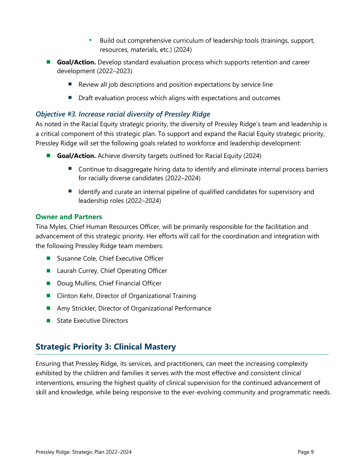- Build out comprehensive curriculum of leadership tools (trainings, support, resources, materials, etc.) (2024)
- **Goal/Action.** Develop standard evaluation process which supports retention and career development (2022–2023)
	- Review all job descriptions and position expectations by service line
	- Draft evaluation process which aligns with expectations and outcomes

# *Objective #3. Increase racial diversity of Pressley Ridge*

As noted in the Racial Equity strategic priority, the diversity of Pressley Ridge's team and leadership is a critical component of this strategic plan. To support and expand the Racial Equity strategic priority, Pressley Ridge will set the following goals related to workforce and leadership development:

- **Goal/Action.** Achieve diversity targets outlined for Racial Equity (2024)
	- Continue to disaggregate hiring data to identify and eliminate internal process barriers for racially diverse candidates (2022–2024)
	- Identify and curate an internal pipeline of qualified candidates for supervisory and leadership roles (2022–2024)

#### **Owner and Partners**

Tina Myles, Chief Human Resources Officer, will be primarily responsible for the facilitation and advancement of this strategic priority. Her efforts will call for the coordination and integration with the following Pressley Ridge team members:

- Susanne Cole, Chief Executive Officer
- Laurah Currey, Chief Operating Officer
- Doug Mullins, Chief Financial Officer
- Clinton Kehr, Director of Organizational Training
- Amy Strickler, Director of Organizational Performance
- State Executive Directors

# **Strategic Priority 3: Clinical Mastery**

Ensuring that Pressley Ridge, its services, and practitioners, can meet the increasing complexity exhibited by the children and families it serves with the most effective and consistent clinical interventions, ensuring the highest quality of clinical supervision for the continued advancement of skill and knowledge, while being responsive to the ever-evolving community and programmatic needs.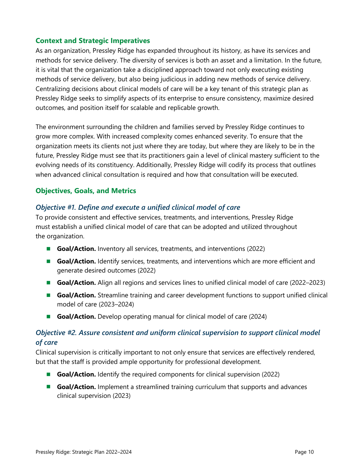# **Context and Strategic Imperatives**

As an organization, Pressley Ridge has expanded throughout its history, as have its services and methods for service delivery. The diversity of services is both an asset and a limitation. In the future, it is vital that the organization take a disciplined approach toward not only executing existing methods of service delivery, but also being judicious in adding new methods of service delivery. Centralizing decisions about clinical models of care will be a key tenant of this strategic plan as Pressley Ridge seeks to simplify aspects of its enterprise to ensure consistency, maximize desired outcomes, and position itself for scalable and replicable growth.

The environment surrounding the children and families served by Pressley Ridge continues to grow more complex. With increased complexity comes enhanced severity. To ensure that the organization meets its clients not just where they are today, but where they are likely to be in the future, Pressley Ridge must see that its practitioners gain a level of clinical mastery sufficient to the evolving needs of its constituency. Additionally, Pressley Ridge will codify its process that outlines when advanced clinical consultation is required and how that consultation will be executed.

#### **Objectives, Goals, and Metrics**

#### *Objective #1. Define and execute a unified clinical model of care*

To provide consistent and effective services, treatments, and interventions, Pressley Ridge must establish a unified clinical model of care that can be adopted and utilized throughout the organization.

- **Goal/Action.** Inventory all services, treatments, and interventions (2022)
- **Goal/Action.** Identify services, treatments, and interventions which are more efficient and generate desired outcomes (2022)
- **Goal/Action.** Align all regions and services lines to unified clinical model of care (2022–2023)
- **Goal/Action.** Streamline training and career development functions to support unified clinical model of care (2023–2024)
- **Goal/Action.** Develop operating manual for clinical model of care (2024)

# *Objective #2. Assure consistent and uniform clinical supervision to support clinical model of care*

Clinical supervision is critically important to not only ensure that services are effectively rendered, but that the staff is provided ample opportunity for professional development.

- **Goal/Action.** Identify the required components for clinical supervision (2022)
- **Goal/Action.** Implement a streamlined training curriculum that supports and advances clinical supervision (2023)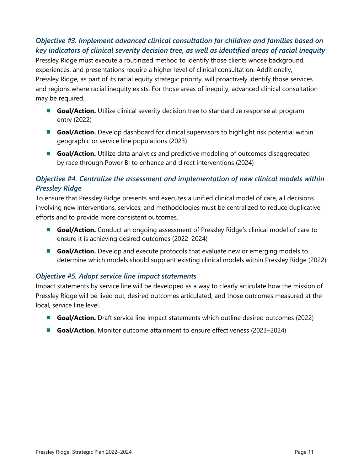# *Objective #3. Implement advanced clinical consultation for children and families based on key indicators of clinical severity decision tree, as well as identified areas of racial inequity*

Pressley Ridge must execute a routinized method to identify those clients whose background, experiences, and presentations require a higher level of clinical consultation. Additionally, Pressley Ridge, as part of its racial equity strategic priority, will proactively identify those services and regions where racial inequity exists. For those areas of inequity, advanced clinical consultation may be required.

- **Goal/Action.** Utilize clinical severity decision tree to standardize response at program entry (2022)
- **Goal/Action.** Develop dashboard for clinical supervisors to highlight risk potential within geographic or service line populations (2023)
- **Goal/Action.** Utilize data analytics and predictive modeling of outcomes disaggregated by race through Power BI to enhance and direct interventions (2024)

# *Objective #4. Centralize the assessment and implementation of new clinical models within Pressley Ridge*

To ensure that Pressley Ridge presents and executes a unified clinical model of care, all decisions involving new interventions, services, and methodologies must be centralized to reduce duplicative efforts and to provide more consistent outcomes.

- **Goal/Action.** Conduct an ongoing assessment of Pressley Ridge's clinical model of care to ensure it is achieving desired outcomes (2022–2024)
- **Goal/Action.** Develop and execute protocols that evaluate new or emerging models to determine which models should supplant existing clinical models within Pressley Ridge (2022)

# *Objective #5. Adopt service line impact statements*

Impact statements by service line will be developed as a way to clearly articulate how the mission of Pressley Ridge will be lived out, desired outcomes articulated, and those outcomes measured at the local, service line level.

- **Goal/Action.** Draft service line impact statements which outline desired outcomes (2022)
- **Goal/Action.** Monitor outcome attainment to ensure effectiveness (2023–2024)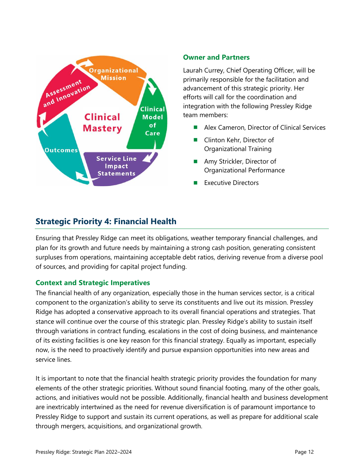

#### **Owner and Partners**

Laurah Currey, Chief Operating Officer, will be primarily responsible for the facilitation and advancement of this strategic priority. Her efforts will call for the coordination and integration with the following Pressley Ridge team members:

- ◼ Alex Cameron, Director of Clinical Services
- Clinton Kehr, Director of Organizational Training
- Amy Strickler, Director of Organizational Performance
- **Executive Directors**

# **Strategic Priority 4: Financial Health**

Ensuring that Pressley Ridge can meet its obligations, weather temporary financial challenges, and plan for its growth and future needs by maintaining a strong cash position, generating consistent surpluses from operations, maintaining acceptable debt ratios, deriving revenue from a diverse pool of sources, and providing for capital project funding.

#### **Context and Strategic Imperatives**

The financial health of any organization, especially those in the human services sector, is a critical component to the organization's ability to serve its constituents and live out its mission. Pressley Ridge has adopted a conservative approach to its overall financial operations and strategies. That stance will continue over the course of this strategic plan. Pressley Ridge's ability to sustain itself through variations in contract funding, escalations in the cost of doing business, and maintenance of its existing facilities is one key reason for this financial strategy. Equally as important, especially now, is the need to proactively identify and pursue expansion opportunities into new areas and service lines.

It is important to note that the financial health strategic priority provides the foundation for many elements of the other strategic priorities. Without sound financial footing, many of the other goals, actions, and initiatives would not be possible. Additionally, financial health and business development are inextricably intertwined as the need for revenue diversification is of paramount importance to Pressley Ridge to support and sustain its current operations, as well as prepare for additional scale through mergers, acquisitions, and organizational growth.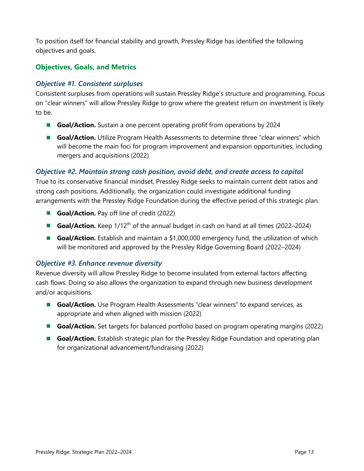To position itself for financial stability and growth, Pressley Ridge has identified the following objectives and goals.

# **Objectives, Goals, and Metrics**

### *Objective #1. Consistent surpluses*

Consistent surpluses from operations will sustain Pressley Ridge's structure and programming. Focus on "clear winners" will allow Pressley Ridge to grow where the greatest return on investment is likely to be.

- **Goal/Action.** Sustain a one percent operating profit from operations by 2024
- **Goal/Action.** Utilize Program Health Assessments to determine three "clear winners" which will become the main foci for program improvement and expansion opportunities, including mergers and acquisitions (2022)

#### *Objective #2. Maintain strong cash position, avoid debt, and create access to capital*

True to its conservative financial mindset, Pressley Ridge seeks to maintain current debt ratios and strong cash positions. Additionally, the organization could investigate additional funding arrangements with the Pressley Ridge Foundation during the effective period of this strategic plan.

- **Goal/Action.** Pay off line of credit (2022)
- **Goal/Action.** Keep 1/12<sup>th</sup> of the annual budget in cash on hand at all times (2022–2024)
- Goal/Action. Establish and maintain a \$1,000,000 emergency fund, the utilization of which will be monitored and approved by the Pressley Ridge Governing Board (2022–2024)

# *Objective #3. Enhance revenue diversity*

Revenue diversity will allow Pressley Ridge to become insulated from external factors affecting cash flows. Doing so also allows the organization to expand through new business development and/or acquisitions.

- **Goal/Action.** Use Program Health Assessments "clear winners" to expand services, as appropriate and when aligned with mission (2022)
- **Goal/Action.** Set targets for balanced portfolio based on program operating margins (2022)
- **Goal/Action.** Establish strategic plan for the Pressley Ridge Foundation and operating plan for organizational advancement/fundraising (2022)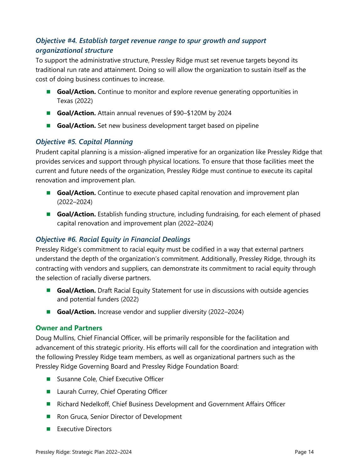# *Objective #4. Establish target revenue range to spur growth and support organizational structure*

To support the administrative structure, Pressley Ridge must set revenue targets beyond its traditional run rate and attainment. Doing so will allow the organization to sustain itself as the cost of doing business continues to increase.

- Goal/Action. Continue to monitor and explore revenue generating opportunities in Texas (2022)
- **Goal/Action.** Attain annual revenues of \$90–\$120M by 2024
- **Goal/Action.** Set new business development target based on pipeline

# *Objective #5. Capital Planning*

Prudent capital planning is a mission-aligned imperative for an organization like Pressley Ridge that provides services and support through physical locations. To ensure that those facilities meet the current and future needs of the organization, Pressley Ridge must continue to execute its capital renovation and improvement plan.

- **Goal/Action.** Continue to execute phased capital renovation and improvement plan (2022–2024)
- **Goal/Action.** Establish funding structure, including fundraising, for each element of phased capital renovation and improvement plan (2022–2024)

# *Objective #6. Racial Equity in Financial Dealings*

Pressley Ridge's commitment to racial equity must be codified in a way that external partners understand the depth of the organization's commitment. Additionally, Pressley Ridge, through its contracting with vendors and suppliers, can demonstrate its commitment to racial equity through the selection of racially diverse partners.

- **Goal/Action.** Draft Racial Equity Statement for use in discussions with outside agencies and potential funders (2022)
- **Goal/Action.** Increase vendor and supplier diversity (2022–2024)

#### **Owner and Partners**

Doug Mullins, Chief Financial Officer, will be primarily responsible for the facilitation and advancement of this strategic priority. His efforts will call for the coordination and integration with the following Pressley Ridge team members, as well as organizational partners such as the Pressley Ridge Governing Board and Pressley Ridge Foundation Board:

- Susanne Cole, Chief Executive Officer
- Laurah Currey, Chief Operating Officer
- Richard Nedelkoff, Chief Business Development and Government Affairs Officer
- Ron Gruca, Senior Director of Development
- Executive Directors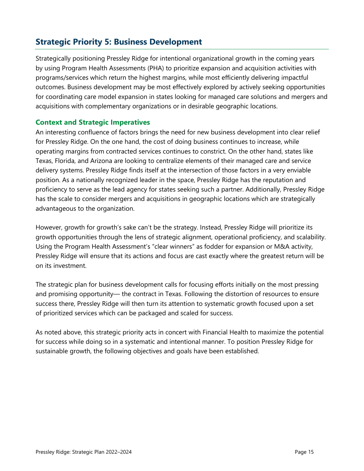# **Strategic Priority 5: Business Development**

Strategically positioning Pressley Ridge for intentional organizational growth in the coming years by using Program Health Assessments (PHA) to prioritize expansion and acquisition activities with programs/services which return the highest margins, while most efficiently delivering impactful outcomes. Business development may be most effectively explored by actively seeking opportunities for coordinating care model expansion in states looking for managed care solutions and mergers and acquisitions with complementary organizations or in desirable geographic locations.

# **Context and Strategic Imperatives**

An interesting confluence of factors brings the need for new business development into clear relief for Pressley Ridge. On the one hand, the cost of doing business continues to increase, while operating margins from contracted services continues to constrict. On the other hand, states like Texas, Florida, and Arizona are looking to centralize elements of their managed care and service delivery systems. Pressley Ridge finds itself at the intersection of those factors in a very enviable position. As a nationally recognized leader in the space, Pressley Ridge has the reputation and proficiency to serve as the lead agency for states seeking such a partner. Additionally, Pressley Ridge has the scale to consider mergers and acquisitions in geographic locations which are strategically advantageous to the organization.

However, growth for growth's sake can't be the strategy. Instead, Pressley Ridge will prioritize its growth opportunities through the lens of strategic alignment, operational proficiency, and scalability. Using the Program Health Assessment's "clear winners" as fodder for expansion or M&A activity, Pressley Ridge will ensure that its actions and focus are cast exactly where the greatest return will be on its investment.

The strategic plan for business development calls for focusing efforts initially on the most pressing and promising opportunity— the contract in Texas. Following the distortion of resources to ensure success there, Pressley Ridge will then turn its attention to systematic growth focused upon a set of prioritized services which can be packaged and scaled for success.

As noted above, this strategic priority acts in concert with Financial Health to maximize the potential for success while doing so in a systematic and intentional manner. To position Pressley Ridge for sustainable growth, the following objectives and goals have been established.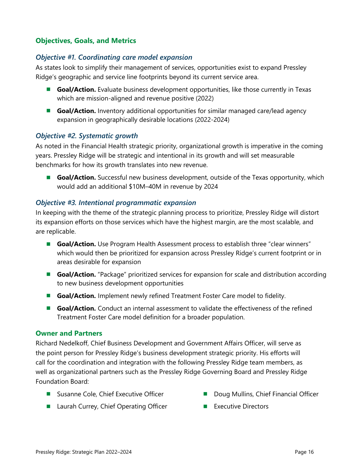### **Objectives, Goals, and Metrics**

#### *Objective #1. Coordinating care model expansion*

As states look to simplify their management of services, opportunities exist to expand Pressley Ridge's geographic and service line footprints beyond its current service area.

- **Goal/Action.** Evaluate business development opportunities, like those currently in Texas which are mission-aligned and revenue positive (2022)
- **Goal/Action.** Inventory additional opportunities for similar managed care/lead agency expansion in geographically desirable locations (2022-2024)

#### *Objective #2. Systematic growth*

As noted in the Financial Health strategic priority, organizational growth is imperative in the coming years. Pressley Ridge will be strategic and intentional in its growth and will set measurable benchmarks for how its growth translates into new revenue.

■ Goal/Action. Successful new business development, outside of the Texas opportunity, which would add an additional \$10M–40M in revenue by 2024

#### *Objective #3. Intentional programmatic expansion*

In keeping with the theme of the strategic planning process to prioritize, Pressley Ridge will distort its expansion efforts on those services which have the highest margin, are the most scalable, and are replicable.

- **Goal/Action.** Use Program Health Assessment process to establish three "clear winners" which would then be prioritized for expansion across Pressley Ridge's current footprint or in areas desirable for expansion
- **Goal/Action.** "Package" prioritized services for expansion for scale and distribution according to new business development opportunities
- **Goal/Action.** Implement newly refined Treatment Foster Care model to fidelity.
- **Goal/Action.** Conduct an internal assessment to validate the effectiveness of the refined Treatment Foster Care model definition for a broader population.

#### **Owner and Partners**

Richard Nedelkoff, Chief Business Development and Government Affairs Officer, will serve as the point person for Pressley Ridge's business development strategic priority. His efforts will call for the coordination and integration with the following Pressley Ridge team members, as well as organizational partners such as the Pressley Ridge Governing Board and Pressley Ridge Foundation Board:

- Susanne Cole, Chief Executive Officer
- Laurah Currey, Chief Operating Officer
- Doug Mullins, Chief Financial Officer
- Executive Directors